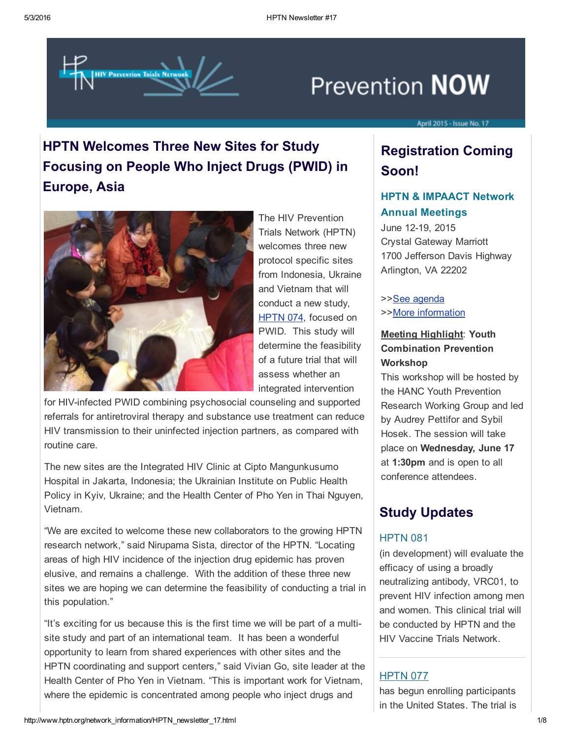

# **Prevention NOW**

#### April 2015 - Issue No. 17

## HPTN Welcomes Three New Sites for Study Focusing on People Who Inject Drugs (PWID) in Europe, Asia



The HIV Prevention Trials Network (HPTN) welcomes three new protocol specific sites from Indonesia, Ukraine and Vietnam that will conduct a new study, [HPTN](https://t.e2ma.net/click/o1deh/49ulmo/oxe8de) 074, focused on PWID. This study will determine the feasibility of a future trial that will assess whether an integrated intervention

for HIV-infected PWID combining psychosocial counseling and supported referrals for antiretroviral therapy and substance use treatment can reduce HIV transmission to their uninfected injection partners, as compared with routine care.

The new sites are the Integrated HIV Clinic at Cipto Mangunkusumo Hospital in Jakarta, Indonesia; the Ukrainian Institute on Public Health Policy in Kyiv, Ukraine; and the Health Center of Pho Yen in Thai Nguyen, Vietnam.

"We are excited to welcome these new collaborators to the growing HPTN research network," said Nirupama Sista, director of the HPTN. "Locating areas of high HIV incidence of the injection drug epidemic has proven elusive, and remains a challenge. With the addition of these three new sites we are hoping we can determine the feasibility of conducting a trial in this population."

"It's exciting for us because this is the first time we will be part of a multisite study and part of an international team. It has been a wonderful opportunity to learn from shared experiences with other sites and the HPTN coordinating and support centers," said Vivian Go, site leader at the Health Center of Pho Yen in Vietnam. "This is important work for Vietnam, where the epidemic is concentrated among people who inject drugs and

## Registration Coming Soon!

## HPTN & IMPAACT Network Annual Meetings

June 12-19, 2015 Crystal Gateway Marriott 1700 Jefferson Davis Highway Arlington, VA 22202

>>See [agenda](https://t.e2ma.net/click/o1deh/49ulmo/gbw8de) >>More [information](https://t.e2ma.net/click/o1deh/49ulmo/w3w8de)

### Meeting Highlight: Youth Combination Prevention **Workshop**

This workshop will be hosted by the HANC Youth Prevention Research Working Group and led by Audrey Pettifor and Sybil Hosek. The session will take place on Wednesday, June 17 at 1:30pm and is open to all conference attendees.

## Study Updates

## **HPTN 081**

(in development) will evaluate the efficacy of using a broadly neutralizing antibody, VRC01, to prevent HIV infection among men and women. This clinical trial will be conducted by HPTN and the HIV Vaccine Trials Network.

### **[HPTN](https://t.e2ma.net/click/o1deh/49ulmo/cwx8de) 077**

has begun enrolling participants in the United States. The trial is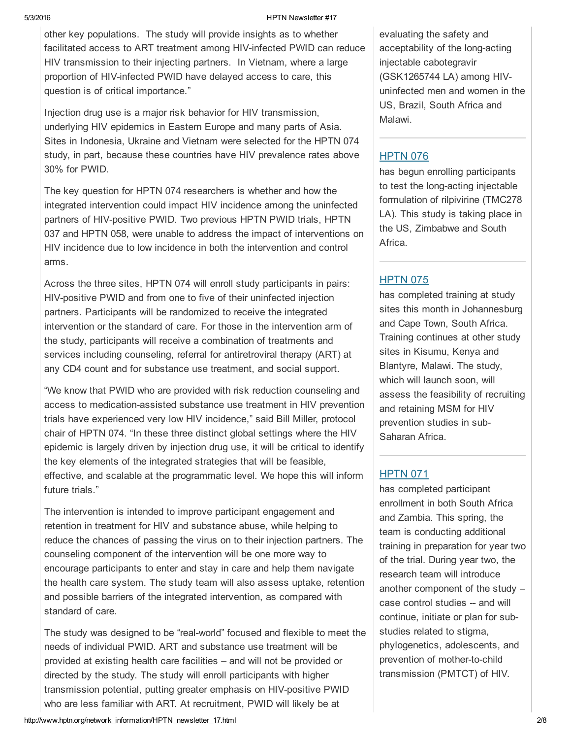other key populations. The study will provide insights as to whether facilitated access to ART treatment among HIV-infected PWID can reduce HIV transmission to their injecting partners. In Vietnam, where a large proportion of HIV-infected PWID have delayed access to care, this question is of critical importance."

Injection drug use is a major risk behavior for HIV transmission, underlying HIV epidemics in Eastern Europe and many parts of Asia. Sites in Indonesia, Ukraine and Vietnam were selected for the HPTN 074 study, in part, because these countries have HIV prevalence rates above 30% for PWID.

The key question for HPTN 074 researchers is whether and how the integrated intervention could impact HIV incidence among the uninfected partners of HIV-positive PWID. Two previous HPTN PWID trials, HPTN 037 and HPTN 058, were unable to address the impact of interventions on HIV incidence due to low incidence in both the intervention and control arms.

Across the three sites, HPTN 074 will enroll study participants in pairs: HIV-positive PWID and from one to five of their uninfected injection partners. Participants will be randomized to receive the integrated intervention or the standard of care. For those in the intervention arm of the study, participants will receive a combination of treatments and services including counseling, referral for antiretroviral therapy (ART) at any CD4 count and for substance use treatment, and social support.

"We know that PWID who are provided with risk reduction counseling and access to medication-assisted substance use treatment in HIV prevention trials have experienced very low HIV incidence," said Bill Miller, protocol chair of HPTN 074. "In these three distinct global settings where the HIV epidemic is largely driven by injection drug use, it will be critical to identify the key elements of the integrated strategies that will be feasible, effective, and scalable at the programmatic level. We hope this will inform future trials."

The intervention is intended to improve participant engagement and retention in treatment for HIV and substance abuse, while helping to reduce the chances of passing the virus on to their injection partners. The counseling component of the intervention will be one more way to encourage participants to enter and stay in care and help them navigate the health care system. The study team will also assess uptake, retention and possible barriers of the integrated intervention, as compared with standard of care.

The study was designed to be "real-world" focused and flexible to meet the needs of individual PWID. ART and substance use treatment will be provided at existing health care facilities – and will not be provided or directed by the study. The study will enroll participants with higher transmission potential, putting greater emphasis on HIV-positive PWID who are less familiar with ART. At recruitment, PWID will likely be at

evaluating the safety and acceptability of the long-acting injectable cabotegravir (GSK1265744 LA) among HIVuninfected men and women in the US, Brazil, South Africa and Malawi.

## [HPTN](https://t.e2ma.net/click/o1deh/49ulmo/soy8de) 076

has begun enrolling participants to test the long-acting injectable formulation of rilpivirine (TMC278 LA). This study is taking place in the US, Zimbabwe and South Africa.

## **[HPTN](https://t.e2ma.net/click/o1deh/49ulmo/8gz8de) 075**

has completed training at study sites this month in Johannesburg and Cape Town, South Africa. Training continues at other study sites in Kisumu, Kenya and Blantyre, Malawi. The study, which will launch soon, will assess the feasibility of recruiting and retaining MSM for HIV prevention studies in sub-Saharan Africa.

## [HPTN](https://t.e2ma.net/click/o1deh/49ulmo/o9z8de) 071

has completed participant enrollment in both South Africa and Zambia. This spring, the team is conducting additional training in preparation for year two of the trial. During year two, the research team will introduce another component of the study – case control studies -- and will continue, initiate or plan for substudies related to stigma, phylogenetics, adolescents, and prevention of mother-to-child transmission (PMTCT) of HIV.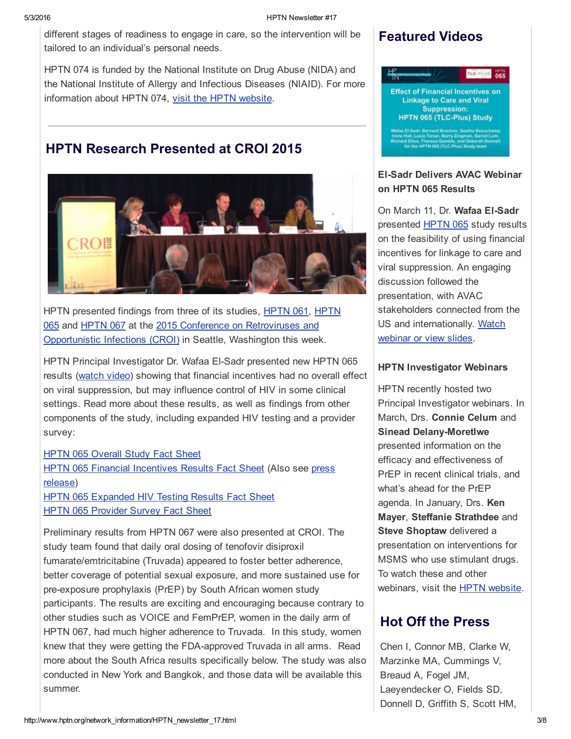different stages of readiness to engage in care, so the intervention will be tailored to an individual's personal needs.

HPTN 074 is funded by the National Institute on Drug Abuse (NIDA) and the National Institute of Allergy and Infectious Diseases (NIAID). For more information about HPTN 074, visit the HPTN [website.](https://t.e2ma.net/click/o1deh/49ulmo/4pf8de)

## HPTN Research Presented at CROI 2015



[HPTN](https://t.e2ma.net/click/o1deh/49ulmo/kig8de) presented findings from three of its studies, HPTN 061, HPTN 065 and [HPTN](https://t.e2ma.net/click/o1deh/49ulmo/g3h8de) 067 at the 2015 Conference on [Retroviruses](https://t.e2ma.net/click/o1deh/49ulmo/0ah8de) and [Opportunistic](https://t.e2ma.net/click/o1deh/49ulmo/wvi8de) Infections (CROI) in Seattle, Washington this week.

HPTN Principal Investigator Dr. Wafaa El-Sadr presented new HPTN 065 results [\(watch](https://t.e2ma.net/click/o1deh/49ulmo/coj8de) video) showing that financial incentives had no overall effect on viral suppression, but may influence control of HIV in some clinical settings. Read more about these results, as well as findings from other components of the study, including expanded HIV testing and a provider survey:

## **HPTN 065 [Overall](https://t.e2ma.net/click/o1deh/49ulmo/sgk8de) Study Fact Sheet** HPTN 065 Financial [Incentives](https://t.e2ma.net/click/o1deh/49ulmo/88k8de) Results Fact Sheet (Also see press release)

HPTN 065 [Expanded](https://t.e2ma.net/click/o1deh/49ulmo/4tm8de) HIV Testing Results Fact Sheet **HPTN 065 [Provider](https://t.e2ma.net/click/o1deh/49ulmo/kmn8de) Survey Fact Sheet** 

Preliminary results from HPTN 067 were also presented at CROI. The study team found that daily oral dosing of tenofovir disiproxil fumarate/emtricitabine (Truvada) appeared to foster better adherence, better coverage of potential sexual exposure, and more sustained use for pre-exposure prophylaxis (PrEP) by South African women study participants. The results are exciting and encouraging because contrary to other studies such as VOICE and FemPrEP, women in the daily arm of HPTN 067, had much higher adherence to Truvada. In this study, women knew that they were getting the FDA-approved Truvada in all arms. Read more about the South Africa results specifically below. The study was also conducted in New York and Bangkok, and those data will be available this summer.

## Featured Videos



## **El-Sadr Delivers AVAC Webinar** on HPTN 065 Results

On March 11, Dr. Wafaa El-Sadr presented **[HPTN](https://t.e2ma.net/click/o1deh/49ulmo/4108de) 065** study results on the feasibility of using financial incentives for linkage to care and viral suppression. An engaging discussion followed the presentation, with AVAC stakeholders connected from the US and [internationally.](https://t.e2ma.net/click/o1deh/49ulmo/ku18de) Watch webinar or view slides.

#### HPTN Investigator Webinars

HPTN recently hosted two Principal Investigator webinars. In March, Drs. Connie Celum and **Sinead Delany-Moretlwe** presented information on the efficacy and effectiveness of PrEP in recent clinical trials, and what's ahead for the PrEP agenda. In January, Drs. Ken Mayer, Steffanie Strathdee and Steve Shoptaw delivered a presentation on interventions for MSMS who use stimulant drugs. To watch these and other webinars, visit the **HPTN** [website](https://t.e2ma.net/click/o1deh/49ulmo/0m28de).

## Hot Off the Press

Chen I, Connor MB, Clarke W, Marzinke MA, Cummings V, Breaud A, Fogel JM, Laeyendecker O, Fields SD, Donnell D, Griffith S, Scott HM,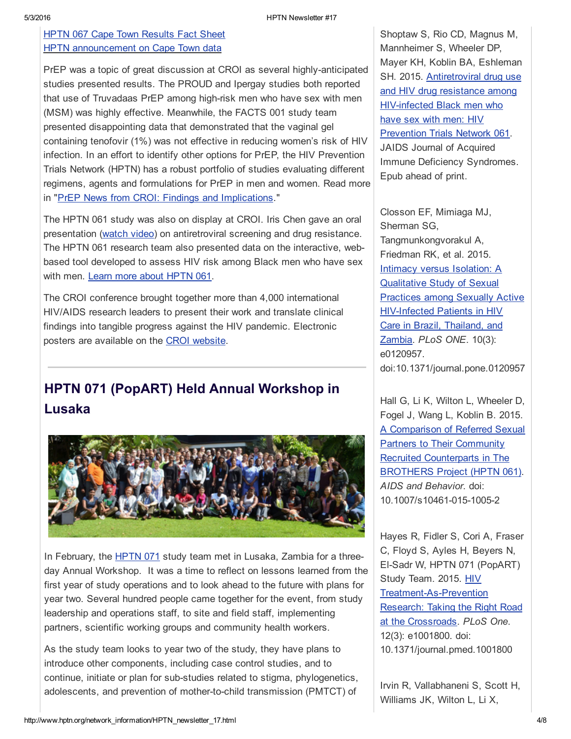## **HPTN 067 Cape Town [Results](https://t.e2ma.net/click/o1deh/49ulmo/0eo8de) Fact Sheet** HPTN [announcement](https://t.e2ma.net/click/o1deh/49ulmo/g7o8de) on Cape Town data

PrEP was a topic of great discussion at CROI as several highly-anticipated studies presented results. The PROUD and Ipergay studies both reported that use of Truvadaas PrEP among high-risk men who have sex with men (MSM) was highly effective. Meanwhile, the FACTS 001 study team presented disappointing data that demonstrated that the vaginal gel containing tenofovir (1%) was not effective in reducing women's risk of HIV infection. In an effort to identify other options for PrEP, the HIV Prevention Trials Network (HPTN) has a robust portfolio of studies evaluating different regimens, agents and formulations for PrEP in men and women. Read more in "PrEP News from CROI: Findings and [Implications](https://t.e2ma.net/click/o1deh/49ulmo/wzp8de)."

The HPTN 061 study was also on display at CROI. Iris Chen gave an oral presentation [\(watch](https://t.e2ma.net/click/o1deh/49ulmo/csq8de) video) on antiretroviral screening and drug resistance. The HPTN 061 research team also presented data on the interactive, webbased tool developed to assess HIV risk among Black men who have sex with men. Learn more about [HPTN](https://t.e2ma.net/click/o1deh/49ulmo/skr8de) 061.

The CROI conference brought together more than 4,000 international HIV/AIDS research leaders to present their work and translate clinical findings into tangible progress against the HIV pandemic. Electronic posters are available on the CROI [website](https://t.e2ma.net/click/o1deh/49ulmo/8cs8de).

## HPTN 071 (PopART) Held Annual Workshop in Lusaka



In February, the [HPTN](https://t.e2ma.net/click/o1deh/49ulmo/o5s8de) 071 study team met in Lusaka, Zambia for a threeday Annual Workshop. It was a time to reflect on lessons learned from the first year of study operations and to look ahead to the future with plans for year two. Several hundred people came together for the event, from study leadership and operations staff, to site and field staff, implementing partners, scientific working groups and community health workers.

As the study team looks to year two of the study, they have plans to introduce other components, including case control studies, and to continue, initiate or plan for sub-studies related to stigma, phylogenetics, adolescents, and prevention of mother-to-child transmission (PMTCT) of

Shoptaw S, Rio CD, Magnus M, Mannheimer S, Wheeler DP, Mayer KH, Koblin BA, Eshleman SH. 2015. [Antiretroviral](https://t.e2ma.net/click/o1deh/49ulmo/gf38de) drug use and HIV drug resistance among HIV-infected Black men who have sex with men: HIV Prevention Trials Network 061. JAIDS Journal of Acquired Immune Deficiency Syndromes. Epub ahead of print.

Closson EF, Mimiaga MJ, Sherman SG, Tangmunkongvorakul A, Friedman RK, et al. 2015. Intimacy versus Isolation: A Qualitative Study of Sexual Practices among Sexually Active **HIV-Infected Patients in HIV** Care in Brazil, Thailand, and Zambia. *PLoS ONE*. 10(3): e0120957. doi:10.1371/journal.pone.0120957

Hall G, Li K, Wilton L, Wheeler D, Fogel J, Wang L, Koblin B. 2015. A Comparison of Referred Sexual Partners to Their Community Recruited [Counterparts](https://t.e2ma.net/click/o1deh/49ulmo/c048de) in The BROTHERS Project (HPTN 061). *AIDS and Behavior*. doi: 10.1007/s10461-015-1005-2

Hayes R, Fidler S, Cori A, Fraser C, Floyd S, Ayles H, Beyers N, ElSadr W, HPTN 071 (PopART) Study Team. 2015. HIV Treatment-As-Prevention Research: Taking the Right Road at the Crossroads. *PLoS One*. 12(3): e1001800. doi: 10.1371/journal.pmed.1001800

Irvin R, Vallabhaneni S, Scott H, Williams JK, Wilton L, Li X,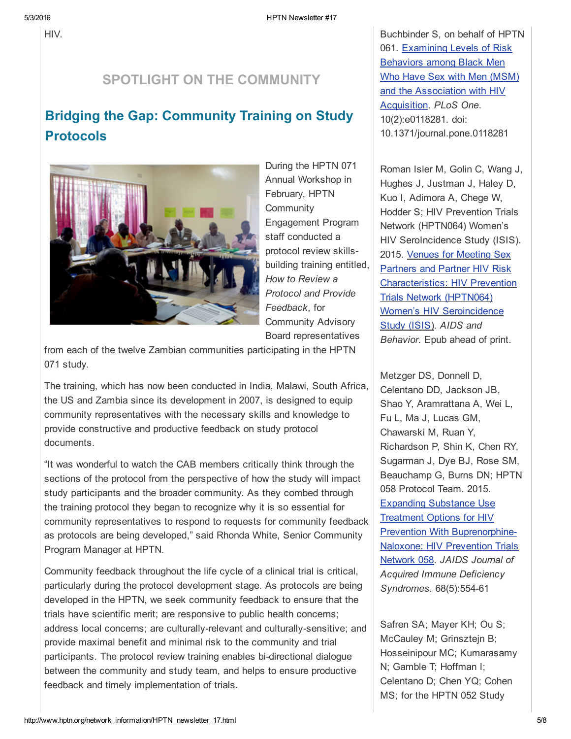HIV.

## SPOTLIGHT ON THE COMMUNITY

## Bridging the Gap: Community Training on Study Protocols



During the HPTN 071 Annual Workshop in February, HPTN **Community** Engagement Program staff conducted a protocol review skillsbuilding training entitled, *How to Review a Protocol and Provide Feedback*, for Community Advisory Board representatives

from each of the twelve Zambian communities participating in the HPTN 071 study.

The training, which has now been conducted in India, Malawi, South Africa, the US and Zambia since its development in 2007, is designed to equip community representatives with the necessary skills and knowledge to provide constructive and productive feedback on study protocol documents.

"It was wonderful to watch the CAB members critically think through the sections of the protocol from the perspective of how the study will impact study participants and the broader community. As they combed through the training protocol they began to recognize why it is so essential for community representatives to respond to requests for community feedback as protocols are being developed," said Rhonda White, Senior Community Program Manager at HPTN.

Community feedback throughout the life cycle of a clinical trial is critical, particularly during the protocol development stage. As protocols are being developed in the HPTN, we seek community feedback to ensure that the trials have scientific merit; are responsive to public health concerns; address local concerns; are culturally-relevant and culturally-sensitive; and provide maximal benefit and minimal risk to the community and trial participants. The protocol review training enables bi-directional dialogue between the community and study team, and helps to ensure productive feedback and timely implementation of trials.

Buchbinder S, on behalf of HPTN 061. Examining Levels of Risk Behaviors among Black Men Who Have Sex with Men (MSM) and the [Association](https://t.e2ma.net/click/o1deh/49ulmo/8k68de) with HIV Acquisition. *PLoS One*. 10(2):e0118281. doi: 10.1371/journal.pone.0118281

Roman Isler M, Golin C, Wang J, Hughes J, Justman J, Haley D, Kuo I, Adimora A, Chege W, Hodder S; HIV Prevention Trials Network (HPTN064) Women's HIV SeroIncidence Study (ISIS). 2015. Venues for Meeting Sex Partners and Partner HIV Risk [Characteristics:](https://t.e2ma.net/click/o1deh/49ulmo/od78de) HIV Prevention Trials Network (HPTN064) Women's HIV Seroincidence Study (ISIS). *AIDS and Behavior*. Epub ahead of print.

Metzger DS, Donnell D, Celentano DD, Jackson JB, Shao Y, Aramrattana A, Wei L, Fu L, Ma J, Lucas GM, Chawarski M, Ruan Y, Richardson P, Shin K, Chen RY, Sugarman J, Dye BJ, Rose SM, Beauchamp G, Burns DN; HPTN 058 Protocol Team. 2015. Expanding Substance Use Treatment Options for HIV Prevention With [Buprenorphine-](https://t.e2ma.net/click/o1deh/49ulmo/4578de)Naloxone: HIV Prevention Trials Network 058. *JAIDS Journal of Acquired Immune Deficiency Syndromes.* 68(5): 554-61

Safren SA; Mayer KH; Ou S; McCauley M; Grinsztejn B; Hosseinipour MC; Kumarasamy N; Gamble T; Hoffman I; Celentano D; Chen YQ; Cohen MS; for the HPTN 052 Study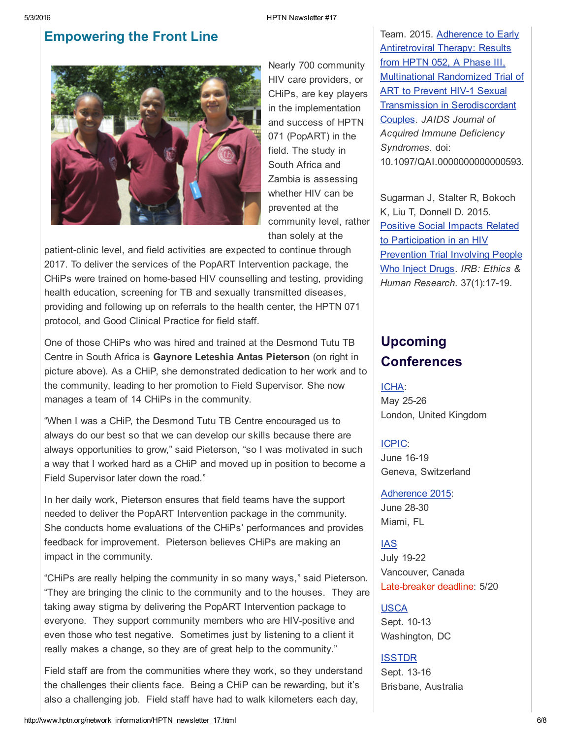## Empowering the Front Line



Nearly 700 community HIV care providers, or CHiPs, are key players in the implementation and success of HPTN 071 (PopART) in the field. The study in South Africa and Zambia is assessing whether HIV can be prevented at the community level, rather than solely at the

patient-clinic level, and field activities are expected to continue through 2017. To deliver the services of the PopART Intervention package, the CHiPs were trained on homebased HIV counselling and testing, providing health education, screening for TB and sexually transmitted diseases, providing and following up on referrals to the health center, the HPTN 071 protocol, and Good Clinical Practice for field staff.

One of those CHiPs who was hired and trained at the Desmond Tutu TB Centre in South Africa is Gaynore Leteshia Antas Pieterson (on right in picture above). As a CHiP, she demonstrated dedication to her work and to the community, leading to her promotion to Field Supervisor. She now manages a team of 14 CHiPs in the community.

"When I was a CHiP, the Desmond Tutu TB Centre encouraged us to always do our best so that we can develop our skills because there are always opportunities to grow," said Pieterson, "so I was motivated in such a way that I worked hard as a CHiP and moved up in position to become a Field Supervisor later down the road."

In her daily work, Pieterson ensures that field teams have the support needed to deliver the PopART Intervention package in the community. She conducts home evaluations of the CHiPs' performances and provides feedback for improvement. Pieterson believes CHiPs are making an impact in the community.

"CHiPs are really helping the community in so many ways," said Pieterson. "They are bringing the clinic to the community and to the houses. They are taking away stigma by delivering the PopART Intervention package to everyone. They support community members who are HIV-positive and even those who test negative. Sometimes just by listening to a client it really makes a change, so they are of great help to the community."

Field staff are from the communities where they work, so they understand the challenges their clients face. Being a CHiP can be rewarding, but it's also a challenging job. Field staff have had to walk kilometers each day,

Team. 2015. Adherence to Early Antiretroviral Therapy: Results from HPTN 052, A Phase III, Multinational Randomized Trial of **ART to Prevent HIV-1 Sexual** Transmission in [Serodiscordant](https://t.e2ma.net/click/o1deh/49ulmo/ky88de) Couples. *JAIDS Journal of Acquired Immune Deficiency Syndromes*. doi: 10.1097/QAI.0000000000000593.

Sugarman J, Stalter R, Bokoch K, Liu T, Donnell D. 2015. Positive Social Impacts Related to [Participation](https://t.e2ma.net/click/o1deh/49ulmo/0q98de) in an HIV Prevention Trial Involving People Who Inject Drugs. *IRB: Ethics & Human Research.* 37(1):17-19.

## Upcoming **Conferences**

#### [ICHA](https://t.e2ma.net/click/o1deh/49ulmo/gja9de):

May 25-26 London, United Kingdom

#### [ICPIC:](https://t.e2ma.net/click/o1deh/49ulmo/wbb9de)

June 16-19 Geneva, Switzerland

[Adherence](https://t.e2ma.net/click/o1deh/49ulmo/c4b9de) 2015: June 28-30 Miami, FL

**[IAS](https://t.e2ma.net/click/o1deh/49ulmo/swc9de)** July 19-22 Vancouver, Canada Late-breaker deadline: 5/20

#### [USCA](https://t.e2ma.net/click/o1deh/49ulmo/8od9de)

Sept. 10-13 Washington, DC

#### [ISSTDR](https://t.e2ma.net/click/o1deh/49ulmo/ohe9de)

Sept. 13-16 Brisbane, Australia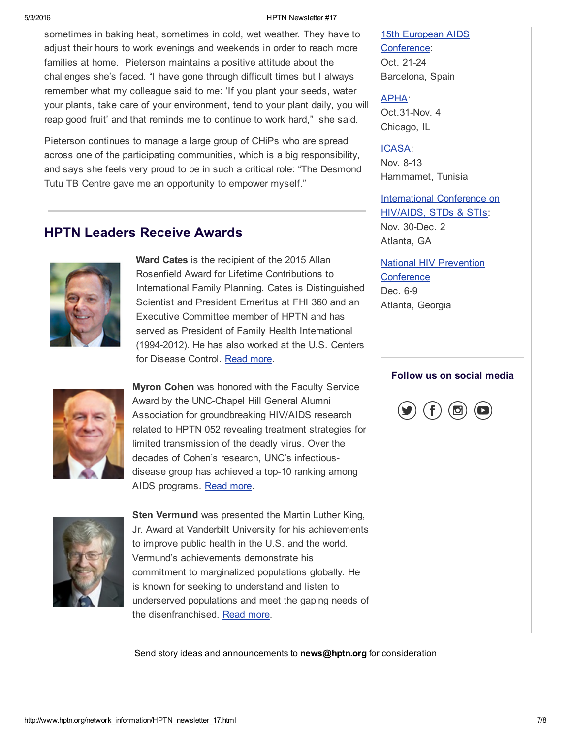sometimes in baking heat, sometimes in cold, wet weather. They have to adjust their hours to work evenings and weekends in order to reach more families at home. Pieterson maintains a positive attitude about the challenges she's faced. "I have gone through difficult times but I always remember what my colleague said to me: 'If you plant your seeds, water your plants, take care of your environment, tend to your plant daily, you will reap good fruit' and that reminds me to continue to work hard," she said.

Pieterson continues to manage a large group of CHiPs who are spread across one of the participating communities, which is a big responsibility, and says she feels very proud to be in such a critical role: "The Desmond Tutu TB Centre gave me an opportunity to empower myself."

## HPTN Leaders Receive Awards



Ward Cates is the recipient of the 2015 Allan Rosenfield Award for Lifetime Contributions to International Family Planning. Cates is Distinguished Scientist and President Emeritus at FHI 360 and an Executive Committee member of HPTN and has served as President of Family Health International (1994-2012). He has also worked at the U.S. Centers for Disease Control. [Read](https://t.e2ma.net/click/o1deh/49ulmo/4xt8de) more.



Myron Cohen was honored with the Faculty Service Award by the UNC-Chapel Hill General Alumni Association for groundbreaking HIV/AIDS research related to HPTN 052 revealing treatment strategies for limited transmission of the deadly virus. Over the decades of Cohen's research, UNC's infectiousdisease group has achieved a top-10 ranking among AIDS programs. [Read](https://t.e2ma.net/click/o1deh/49ulmo/kqu8de) more.



Sten Vermund was presented the Martin Luther King, Jr. Award at Vanderbilt University for his achievements to improve public health in the U.S. and the world. Vermund's achievements demonstrate his commitment to marginalized populations globally. He is known for seeking to understand and listen to underserved populations and meet the gaping needs of the disenfranchised. [Read](https://t.e2ma.net/click/o1deh/49ulmo/0iv8de) more.

Send story ideas and announcements to news@hptn.org for consideration

15th European AIDS [Conference:](https://t.e2ma.net/click/o1deh/49ulmo/49e9de) Oct. 21-24 Barcelona, Spain

[APHA](https://t.e2ma.net/click/o1deh/49ulmo/k2f9de): Oct.31-Nov. 4 Chicago, IL

#### [ICASA:](https://t.e2ma.net/click/o1deh/49ulmo/0ug9de)

Nov. 8-13 Hammamet, Tunisia

[International](https://t.e2ma.net/click/o1deh/49ulmo/gnh9de) Conference on HIV/AIDS, STDs & STIs: Nov. 30-Dec. 2 Atlanta, GA

National HIV Prevention **[Conference](https://t.e2ma.net/click/o1deh/49ulmo/wfi9de)** Dec. 6-9 Atlanta, Georgia

#### Follow us on social media